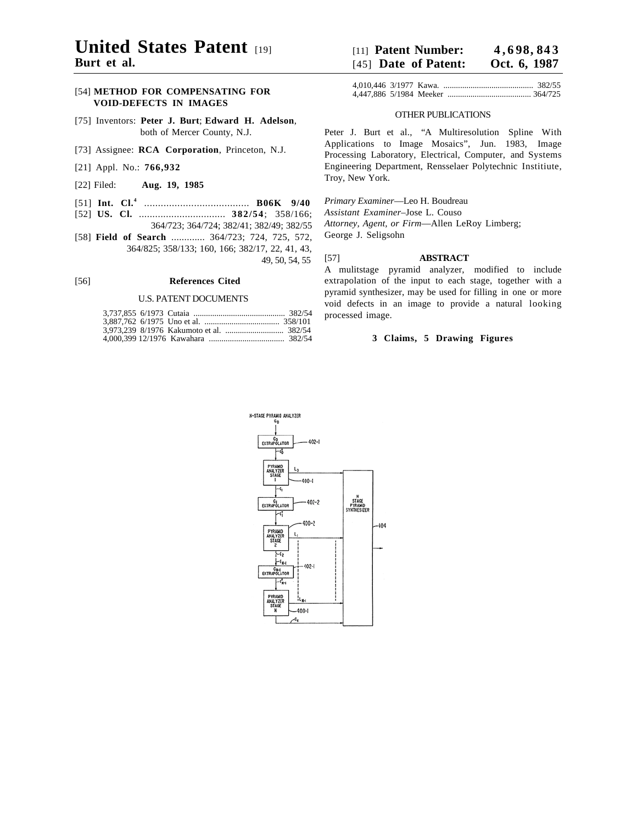# **United States Patent Burt et al.**

## [54] **METHOD FOR COMPENSATING FOR VOID-DEFECTS IN IMAGES**

- [75] Inventors: **Peter J. Burt**; **Edward H. Adelson**, both of Mercer County, N.J.
- [73] Assignee: **RCA Corporation**, Princeton, N.J.
- [21] Appl. No.: **766,932**
- [22] Filed: **Aug. 19, 1985**
- [51] **Int. Cl.4** ...................................... **B06K 9/40**
- [52] **US. Cl.** ................................ **382/54**; 358/166; 364/723; 364/724; 382/41; 382/49; 382/55
- [58] **Field of Search** ............. 364/723; 724, 725, 572, 364/825; 358/133; 160, 166; 382/17, 22, 41, 43, 49, 50, 54, 55

### [56] **References Cited**

#### U.S. PATENT DOCUMENTS

| $[11]$ Patent Number:  | 4,698,843    |
|------------------------|--------------|
| $[45]$ Date of Patent: | Oct. 6, 1987 |

### OTHER PUBLICATIONS

Peter J. Burt et al., "A Multiresolution Spline With Applications to Image Mosaics", Jun. 1983, Image Processing Laboratory, Electrical, Computer, and Systems Engineering Department, Rensselaer Polytechnic Institiute, Troy, New York.

*Primary Examiner*—Leo H. Boudreau

*Assistant Examiner*–Jose L. Couso

*Attorney, Agent, or Firm*—Allen LeRoy Limberg; George J. Seligsohn

### [57] **ABSTRACT**

A mulitstage pyramid analyzer, modified to include extrapolation of the input to each stage, together with a pyramid synthesizer, may be used for filling in one or more void defects in an image to provide a natural looking processed image.

### **3 Claims, 5 Drawing Figures**

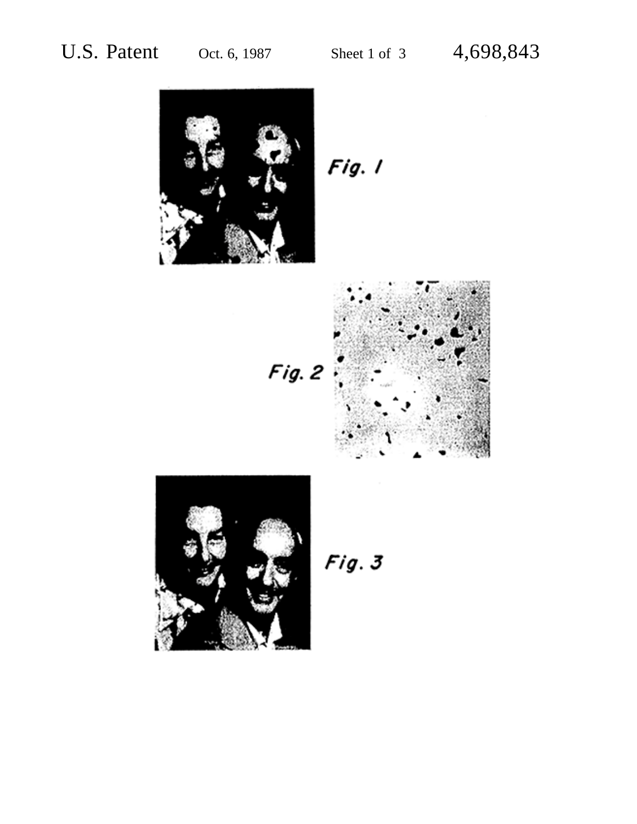

 $Fig. 1$ 





 $Fig. 3$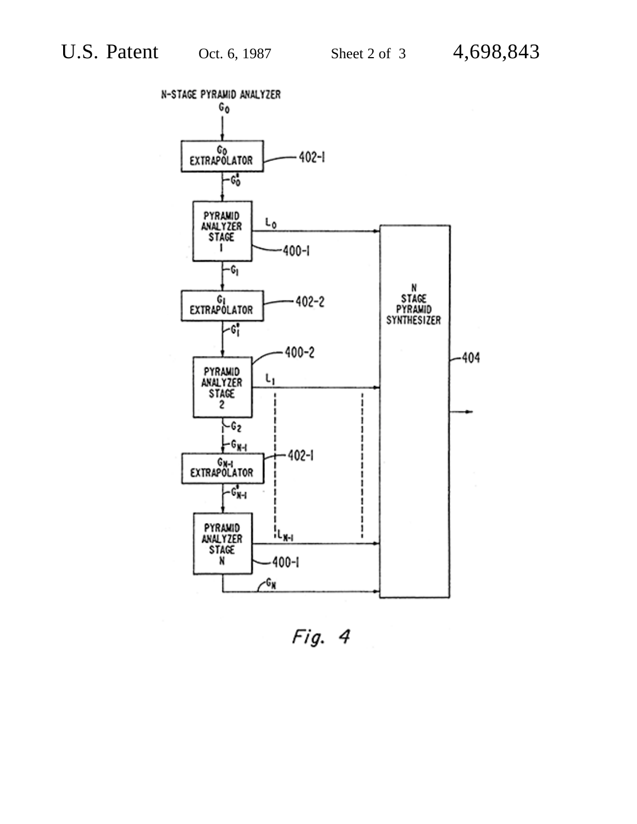

Fig. 4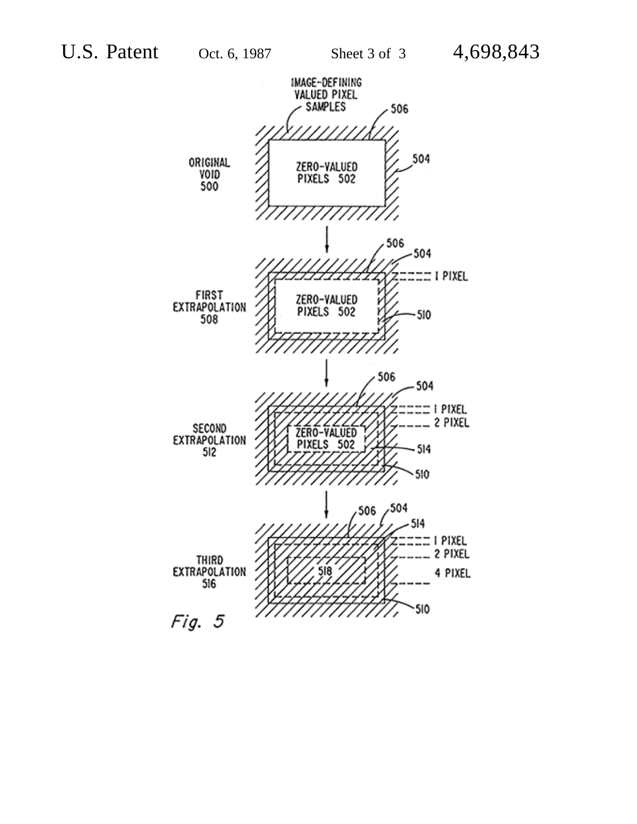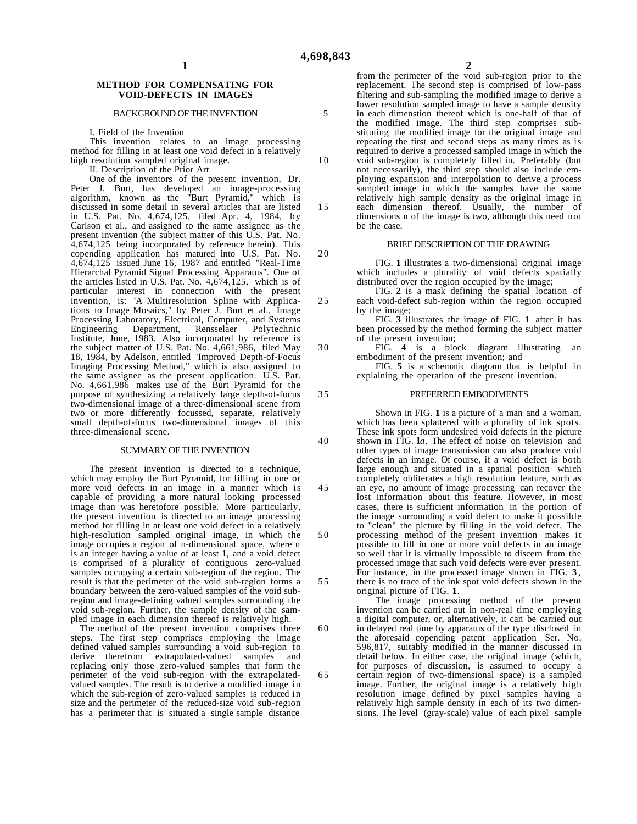5

10

15

20

25

30

35

40

45

50

55

60

65

#### **METHOD FOR COMPENSATING FOR VOID-DEFECTS IN IMAGES**

#### BACKGROUND OF THE INVENTION

I. Field of the Invention

This invention relates to an image processing method for filling in at least one void defect in a relatively high resolution sampled original image.

II. Description of the Prior Art

One of the inventors of the present invention, Dr. Peter J. Burt, has developed an image-processing algorithm, known as the "Burt Pyramid," which is discussed in some detail in several articles that are listed in U.S. Pat. No. 4,674,125, filed Apr. 4, 1984, by Carlson et al., and assigned to the same assignee as the present invention (the subject matter of this U.S. Pat. No. 4,674,125 being incorporated by reference herein). This copending application has matured into U.S. Pat. No. 4,674,125 issued June 16, 1987 and entitled "Real-Time Hierarchal Pyramid Signal Processing Apparatus". One of the articles listed in U.S. Pat. No.  $4,674,125$ , which is of particular interest in connection with the present invention, is: "A Multiresolution Spline with Applications to Image Mosaics," by Peter J. Burt et al., Image Processing Laboratory, Electrical, Computer, and Systems Engineering Department, Rensselaer Polytechnic Institute, June, 1983. Also incorporated by reference is the subject matter of U.S. Pat. No. 4,661,986, filed May 18, 1984, by Adelson, entitled "Improved Depth-of-Focus Imaging Processing Method," which is also assigned to the same assignee as the present application. U.S. Pat. No. 4,661,986 makes use of the Burt Pyramid for the purpose of synthesizing a relatively large depth-of-focus two-dimensional image of a three-dimensional scene from two or more differently focussed, separate, relatively small depth-of-focus two-dimensional images of this three-dimensional scene.

#### SUMMARY OF THE INVENTION

The present invention is directed to a technique, which may employ the Burt Pyramid, for filling in one or more void defects in an image in a manner which is capable of providing a more natural looking processed image than was heretofore possible. More particularly, the present invention is directed to an image processing method for filling in at least one void defect in a relatively high-resolution sampled original image, in which the image occupies a region of n-dimensional space, where n is an integer having a value of at least 1, and a void defect is comprised of a plurality of contiguous zero-valued samples occupying a certain sub-region of the region. The result is that the perimeter of the void sub-region forms a boundary between the zero-valued samples of the void subregion and image-defining valued samples surrounding the void sub-region. Further, the sample density of the sampled image in each dimension thereof is relatively high.

The method of the present invention comprises three steps. The first step comprises employing the image defined valued samples surrounding a void sub-region to derive therefrom extrapolated-valued samples and derive therefrom extrapolated-valued samples replacing only those zero-valued samples that form the perimeter of the void sub-region with the extrapolatedvalued samples. The result is to derive a modified image in which the sub-region of zero-valued samples is reduced in size and the perimeter of the reduced-size void sub-region has a perimeter that is situated a single sample distance

from the perimeter of the void sub-region prior to the replacement. The second step is comprised of low-pass filtering and sub-sampling the modified image to derive a lower resolution sampled image to have a sample density in each dimenstion thereof which is one-half of that of the modified image. The third step comprises substituting the modified image for the original image and repeating the first and second steps as many times as is required to derive a processed sampled image in which the void sub-region is completely filled in. Preferably (but not necessarily), the third step should also include employing expansion and interpolation to derive a process sampled image in which the samples have the same relatively high sample density as the original image in each dimension thereof. Usually, the number of dimensions n of the image is two, although this need not be the case.

### BRIEF DESCRlPTION OF THE DRAWING

FIG. **1** illustrates a two-dimensional original image which includes a plurality of void defects spatially distributed over the region occupied by the image;

FIG. **2** is a mask defining the spatial location of each void-defect sub-region within the region occupied by the image;

FIG. **3** illustrates the image of FIG. **1** after it has been processed by the method forming the subject matter of the present invention;

FIG. **4** is a block diagram illustrating an embodiment of the present invention; and

FIG. **5** is a schematic diagram that is helpful in explaining the operation of the present invention.

#### PREFERRED EMBODIMENTS

Shown in FIG. **1** is a picture of a man and a woman, which has been splattered with a plurality of ink spots. These ink spots form undesired void defects in the picture shown in FIG. **l***a*. The effect of noise on television and other types of image transmission can also produce void defects in an image. Of course, if a void defect is both large enough and situated in a spatial position which completely obliterates a high resolution feature, such as an eye, no amount of image processing can recover the lost information about this feature. However, in most cases, there is sufficient information in the portion of the image surrounding a void defect to make it possible to "clean" the picture by filling in the void defect. The processing method of the present invention makes it possible to fill in one or more void defects in an image so well that it is virtually impossible to discern from the processed image that such void defects were ever present. For instance, in the processed image shown in FIG. **3** , there is no trace of the ink spot void defects shown in the original picture of FIG. **1**.

The image processing method of the present invention can be carried out in non-real time employing a digital computer, or, alternatively, it can be carried out in delayed real time by apparatus of the type disclosed in the aforesaid copending patent application Ser. No. 596,817, suitably modified in the manner discussed in detail below. In either case, the original image (which, for purposes of discussion, is assumed to occupy a certain region of two-dimensional space) is a sampled image. Further, the original image is a relatively high

resolution image defined by pixel samples having a relatively high sample density in each of its two dimensions. The level (gray-scale) value of each pixel sample

**2**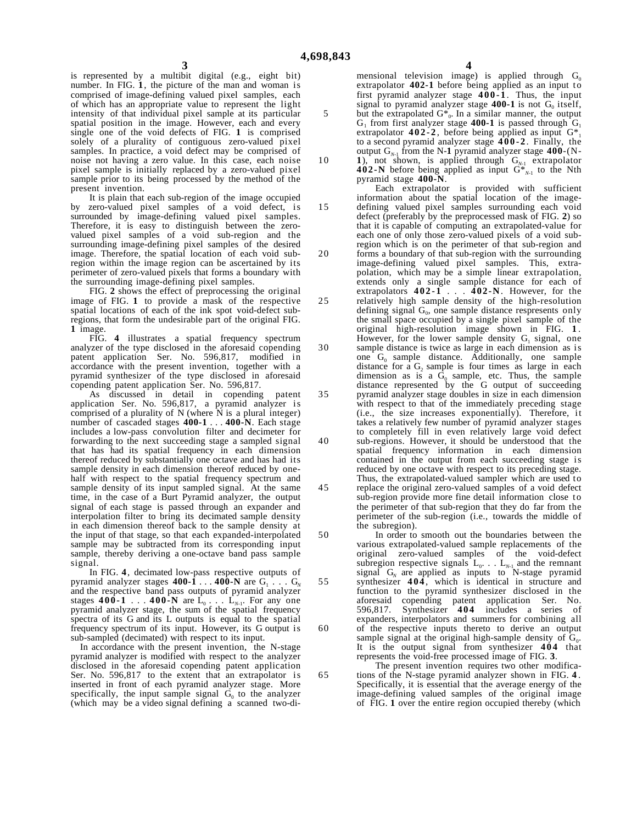5

is represented by a multibit digital (e.g., eight bit) number. In FIG. **1**, the picture of the man and woman is comprised of image-defining valued pixel samples, each of which has an appropriate value to represent the light intensity of that individual pixel sample at its particular spatial position in the image. However, each and every single one of the void defects of FIG. **1** is comprised solely of a plurality of contiguous zero-valued pixel samples. In practice, a void defect may be comprised of noise not having a zero value. In this case, each noise pixel sample is initially replaced by a zero-valued pixel sample prior to its being processed by the method of the present invention.

It is plain that each sub-region of the image occupied by zero-valued pixel samples of a void defect, is surrounded by image-defining valued pixel samples. Therefore, it is easy to distinguish between the zerovalued pixel samples of a void sub-region and the surrounding image-defining pixel samples of the desired image. Therefore, the spatial location of each void subregion within the image region can be ascertained by its perimeter of zero-valued pixels that forms a boundary with the surrounding image-defining pixel samples.

FIG. 2 shows the effect of preprocessing the original image of FIG. **1** to provide a mask of the respective spatial locations of each of the ink spot void-defect subregions, that form the undesirable part of the original FIG. **1** image.

FIG. **4** illustrates a spatial frequency spectrum analyzer of the type disclosed in the aforesaid copending patent application Ser. No. 596,817, modified in accordance with the present invention, together with a pyramid synthesizer of the type disclosed in aforesaid copending patent application Ser. No. 596,817.

As discussed in detail in copending patent application Ser. No. 596,817, a pyramid analyzer is comprised of a plurality of  $\tilde{N}$  (where  $\tilde{N}$  is a plural integer) number of cascaded stages **400-1** . . . **400-N**. Each stage includes a low-pass convolution filter and decimeter for forwarding to the next succeeding stage a sampled signal that has had its spatial frequency in each dimension thereof reduced by substantially one octave and has had its sample density in each dimension thereof reduced by onehalf with respect to the spatial frequency spectrum and sample density of its input sampled signal. At the same time, in the case of a Burt Pyramid analyzer, the output signal of each stage is passed through an expander and interpolation filter to bring its decimated sample density in each dimension thereof back to the sample density at the input of that stage, so that each expanded-interpolated sample may be subtracted from its corresponding input sample, thereby deriving a one-octave band pass sample signal.

In FIG. **4**, decimated low-pass respective outputs of pyramid analyzer stages  $400-\hat{1}$  . . .  $40\hat{0}$ -N are  $G_1$  . . .  $G_N$ and the respective band pass outputs of pyramid analyzer stages **400-1** . . . **400-N** are  $\vec{L}_0$  . . .  $\vec{L}_{N-1}$ . For any one pyramid analyzer stage, the sum of the spatial frequency spectra of its G and its L outputs is equal to the spatial frequency spectrum of its input. However, its G output is sub-sampled (decimated) with respect to its input.

In accordance with the present invention, the N-stage pyramid analyzer is modified with respect to the analyzer disclosed in the aforesaid copending patent application Ser. No. 596,817 to the extent that an extrapolator is inserted in front of each pyramid analyzer stage. More specifically, the input sample signal  $G_0$  to the analyzer (which may be a video signal defining a scanned two-di**4**

mensional television image) is applied through  $G_0$ extrapolator **402-1** before being applied as an input to first pyramid analyzer stage **400-1** . Thus, the input signal to pyramid analyzer stage  $400-1$  is not  $G_0$  itself, but the extrapolated  $G_{0}^{*}$ . In a similar manner, the output  $G_1$  from first analyzer stage 400-1 is passed through  $G_1$ extrapolator  $402-2$ , before being applied as input  $G^*$ to a second pyramid analyzer stage **400-2** . Finally, the output  $G_{N-1}$  from the N-1 pyramid analyzer stage  $400-(N-$ 

**1**), not shown, is applied through  $G_{N-1}$  extrapolator

10

15

20

25

30

35

65

**402-N** before being applied as input  $G^*_{N-1}$  to the Nth pyramid stage **400-N**. Each extrapolator is provided with sufficient information about the spatial location of the imagedefining valued pixel samples surrounding each void defect (preferably by the preprocessed mask of FIG. **2**) so

that it is capable of computing an extrapolated-value for each one of only those zero-valued pixels of a void subregion which is on the perimeter of that sub-region and forms a boundary of that sub-region with the surrounding image-defining valued pixel samples. This, extrapolation, which may be a simple linear extrapolation, extends only a single sample distance for each of

extrapolators **402-1** . . . **402-N**. However, for the relatively high sample density of the high-resolution defining signal  $G_0$ , one sample distance respresents only the small space occupied by a single pixel sample of the original high-resolution image shown in FIG. **1** . However, for the lower sample density  $G_1$  signal, one sample distance is twice as large in each dimension as is

one  $G_0$  sample distance. Additionally, one sample distance for a  $G_2$  sample is four times as large in each dimension as is a  $\tilde{G}_0$  sample, etc. Thus, the sample distance represented by the G output of succeeding pyramid analyzer stage doubles in size in each dimension with respect to that of the immediately preceding stage (i.e., the size increases exponentially). Therefore, it takes a relatively few number of pyramid analyzer stages to completely fill in even relatively large void defect

40 45 sub-regions. However, it should be understood that the spatial frequency information in each dimension contained in the output from each succeeding stage is reduced by one octave with respect to its preceding stage. Thus, the extrapolated-valued sampler which are used to replace the original zero-valued samples of a void defect sub-region provide more fine detail information close to the perimeter of that sub-region that they do far from the perimeter of the sub-region (i.e., towards the middle of the subregion).

50 55 60 In order to smooth out the boundaries between the various extrapolated-valued sample replacements of the original zero-valued samples of the void-defect subregion respective signals  $L_0$ . . .  $L_{N-1}$  and the remnant signal  $G_N$  are applied as inputs to N-stage pyramid synthesizer 404, which is identical in structure and function to the pyramid synthesizer disclosed in the aforesaid copending patent application Ser. No. 596,817. Synthesizer **404** includes a series of expanders, interpolators and summers for combining all of the respective inputs thereto to derive an output sample signal at the original high-sample density of  $G_0$ . It is the output signal from synthesizer **404** that represents the void-free processed image of FIG. **3**.

The present invention requires two other modifications of the N-stage pyramid analyzer shown in FIG. **4** . Specifically, it is essential that the average energy of the image-defining valued samples of the original image of FIG. **1** over the entire region occupied thereby (which